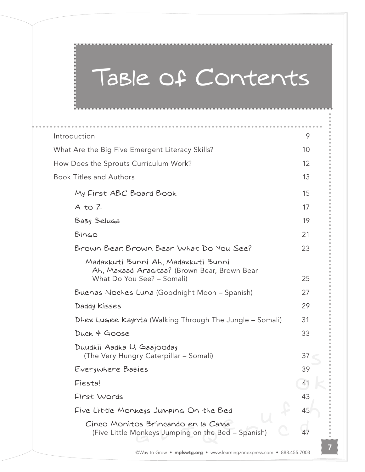## Table of Contents

| Introduction                                                                                                     | 9  |
|------------------------------------------------------------------------------------------------------------------|----|
| What Are the Big Five Emergent Literacy Skills?                                                                  | 10 |
| How Does the Sprouts Curriculum Work?                                                                            | 12 |
| <b>Book Titles and Authors</b>                                                                                   | 13 |
| My First ABC Board Book                                                                                          | 15 |
| $A$ to $Z$                                                                                                       | 17 |
| Baby Beluga                                                                                                      | 19 |
| Bingo                                                                                                            | 21 |
| Brown Bear, Brown Bear What Do You See?                                                                          | 23 |
| Madaxkuti Bunni Ah, Madaxkuti Bunni<br>Ah, Maxaad Aragtaa? (Brown Bear, Brown Bear<br>What Do You See? - Somali) | 25 |
| Buenas Noches Luna (Goodnight Moon - Spanish)                                                                    | 27 |
| Daddy Kisses                                                                                                     | 29 |
| Dhex Lugee Kaynta (Walking Through The Jungle – Somali)                                                          | 31 |
| Duck & Goose                                                                                                     | 33 |
| Duudkii Aadka U Gaajooday<br>(The Very Hungry Caterpillar - Somali)                                              | 37 |
| Everywhere Babies                                                                                                | 39 |
| Fiesta!                                                                                                          | 41 |
| First Words                                                                                                      | 43 |
| Five Little Monkeys Jumping On the Bed                                                                           | 45 |
| Cinco Monitos Brincando en la Cama<br>(Five Little Monkeys Jumping on the Bed – Spanish)                         | 47 |
|                                                                                                                  |    |